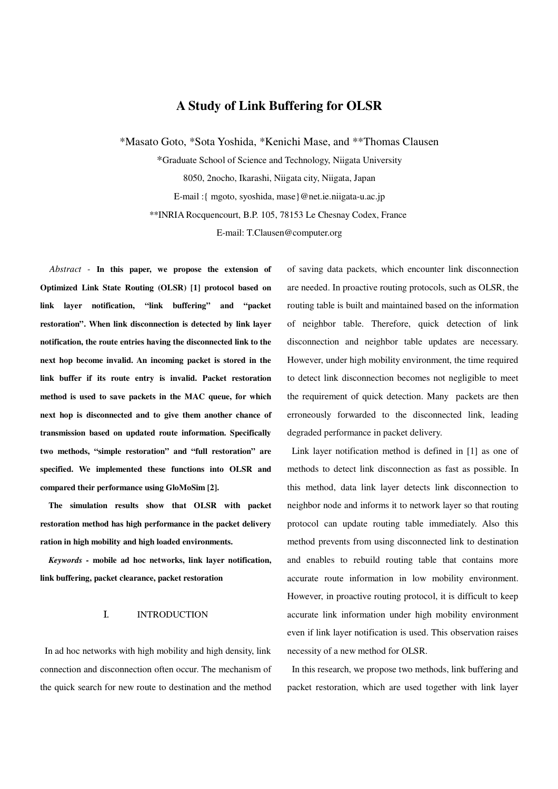# **A Study of Link Buffering for OLSR**

\*Masato Goto, \*Sota Yoshida, \*Kenichi Mase, and \*\*Thomas Clausen

\*Graduate School of Science and Technology, Niigata University 8050, 2nocho, Ikarashi, Niigata city, Niigata, Japan E-mail :{ mgoto, syoshida, mase}@net.ie.niigata-u.ac.jp \*\*INRIA Rocquencourt, B.P. 105, 78153 Le Chesnay Codex, France E-mail: T.Clausen@computer.org

*Abstract -* **In this paper, we propose the extension of Optimized Link State Routing (OLSR) [1] protocol based on link layer notification, "link buffering" and "packet restoration". When link disconnection is detected by link layer notification, the route entries having the disconnected link to the next hop become invalid. An incoming packet is stored in the link buffer if its route entry is invalid. Packet restoration method is used to save packets in the MAC queue, for which next hop is disconnected and to give them another chance of transmission based on updated route information. Specifically two methods, "simple restoration" and "full restoration" are specified. We implemented these functions into OLSR and compared their performance using GloMoSim [2].**

**The simulation results show that OLSR with packet restoration method has high performance in the packet delivery ration in high mobility and high loaded environments.**

*Keywords -* **mobile ad hoc networks, link layer notification, link buffering, packet clearance, packet restoration**

#### I. INTRODUCTION

In ad hoc networks with high mobility and high density, link connection and disconnection often occur. The mechanism of the quick search for new route to destination and the method of saving data packets, which encounter link disconnection are needed. In proactive routing protocols, such as OLSR, the routing table is built and maintained based on the information of neighbor table. Therefore, quick detection of link disconnection and neighbor table updates are necessary. However, under high mobility environment, the time required to detect link disconnection becomes not negligible to meet the requirement of quick detection. Many packets are then erroneously forwarded to the disconnected link, leading degraded performance in packet delivery.

Link layer notification method is defined in [1] as one of methods to detect link disconnection as fast as possible. In this method, data link layer detects link disconnection to neighbor node and informs it to network layer so that routing protocol can update routing table immediately. Also this method prevents from using disconnected link to destination and enables to rebuild routing table that contains more accurate route information in low mobility environment. However, in proactive routing protocol, it is difficult to keep accurate link information under high mobility environment even if link layer notification is used. This observation raises necessity of a new method for OLSR.

In this research, we propose two methods, link buffering and packet restoration, which are used together with link layer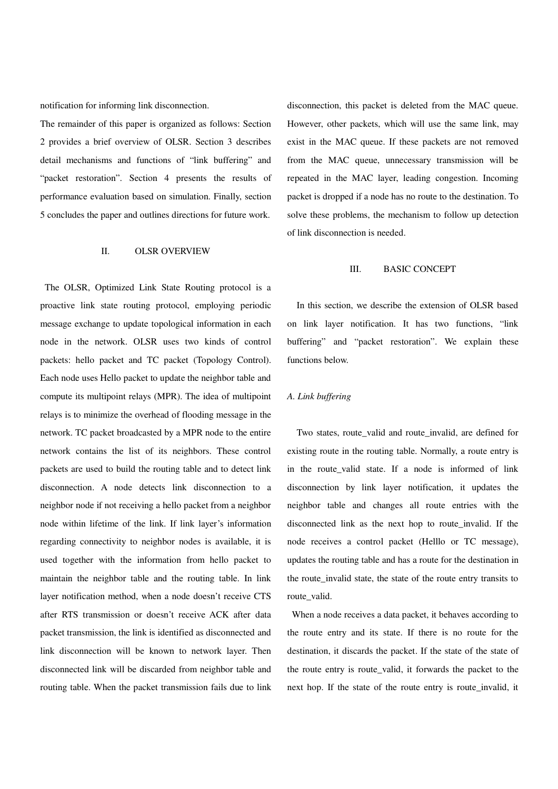notification for informing link disconnection.

The remainder of this paper is organized as follows: Section 2 provides a brief overview of OLSR. Section 3 describes detail mechanisms and functions of "link buffering" and "packet restoration". Section 4 presents the results of performance evaluation based on simulation. Finally, section 5 concludes the paper and outlines directions for future work.

## II. OLSR OVERVIEW

The OLSR, Optimized Link State Routing protocol is a proactive link state routing protocol, employing periodic message exchange to update topological information in each node in the network. OLSR uses two kinds of control packets: hello packet and TC packet (Topology Control). Each node uses Hello packet to update the neighbor table and compute its multipoint relays (MPR). The idea of multipoint relays is to minimize the overhead of flooding message in the network. TC packet broadcasted by a MPR node to the entire network contains the list of its neighbors. These control packets are used to build the routing table and to detect link disconnection. A node detects link disconnection to a neighbor node if not receiving a hello packet from a neighbor node within lifetime of the link. If link layer's information regarding connectivity to neighbor nodes is available, it is used together with the information from hello packet to maintain the neighbor table and the routing table. In link layer notification method, when a node doesn't receive CTS after RTS transmission or doesn't receive ACK after data packet transmission, the link is identified as disconnected and link disconnection will be known to network layer. Then disconnected link will be discarded from neighbor table and routing table. When the packet transmission fails due to link disconnection, this packet is deleted from the MAC queue. However, other packets, which will use the same link, may exist in the MAC queue. If these packets are not removed from the MAC queue, unnecessary transmission will be repeated in the MAC layer, leading congestion. Incoming packet is dropped if a node has no route to the destination. To solve these problems, the mechanism to follow up detection of link disconnection is needed.

### III. BASIC CONCEPT

In this section, we describe the extension of OLSR based on link layer notification. It has two functions, "link buffering" and "packet restoration". We explain these functions below.

### *A. Link buffering*

Two states, route\_valid and route\_invalid, are defined for existing route in the routing table. Normally, a route entry is in the route\_valid state. If a node is informed of link disconnection by link layer notification, it updates the neighbor table and changes all route entries with the disconnected link as the next hop to route\_invalid. If the node receives a control packet (Helllo or TC message), updates the routing table and has a route for the destination in the route invalid state, the state of the route entry transits to route\_valid.

When a node receives a data packet, it behaves according to the route entry and its state. If there is no route for the destination, it discards the packet. If the state of the state of the route entry is route\_valid, it forwards the packet to the next hop. If the state of the route entry is route\_invalid, it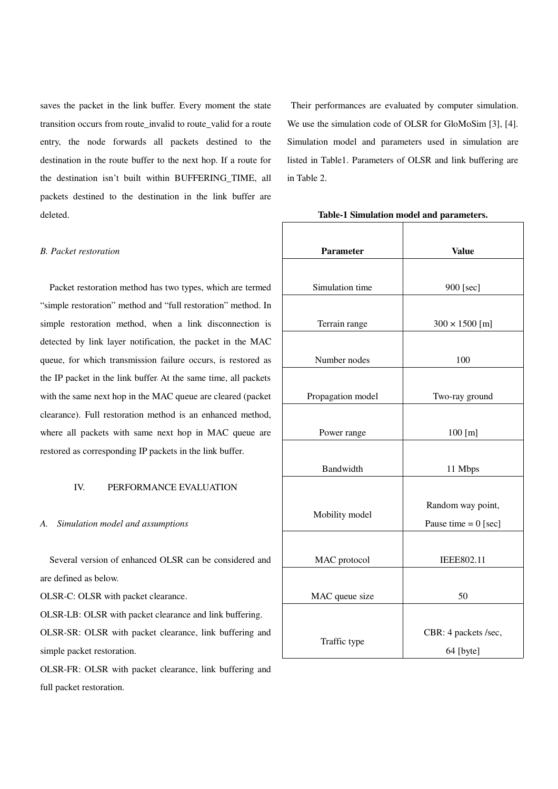saves the packet in the link buffer. Every moment the state transition occurs from route\_invalid to route\_valid for a route entry, the node forwards all packets destined to the destination in the route buffer to the next hop. If a route for the destination isn't built within BUFFERING\_TIME, all packets destined to the destination in the link buffer are deleted.

## *B. Packet restoration*

Packet restoration method has two types, which are termed "simple restoration" method and "full restoration" method. In simple restoration method, when a link disconnection is detected by link layer notification, the packet in the MAC queue, for which transmission failure occurs, is restored as the IP packet in the link buffer. At the same time, all packets with the same next hop in the MAC queue are cleared (packet clearance). Full restoration method is an enhanced method, where all packets with same next hop in MAC queue are restored as corresponding IP packets in the link buffer.

## IV. PERFORMANCE EVALUATION

### *A. Simulation model and assumptions*

Several version of enhanced OLSR can be considered and are defined as below.

OLSR-C: OLSR with packet clearance.

OLSR-LB: OLSR with packet clearance and link buffering. OLSR-SR: OLSR with packet clearance, link buffering and simple packet restoration.

OLSR-FR: OLSR with packet clearance, link buffering and full packet restoration.

 Their performances are evaluated by computer simulation. We use the simulation code of OLSR for GloMoSim [3], [4]. Simulation model and parameters used in simulation are listed in Table1. Parameters of OLSR and link buffering are in Table 2.

| <b>Parameter</b>  | <b>Value</b>                                                                                                        |  |  |  |  |
|-------------------|---------------------------------------------------------------------------------------------------------------------|--|--|--|--|
| Simulation time   | 900 [sec]                                                                                                           |  |  |  |  |
| Terrain range     | $300 \times 1500$ [m]<br>100<br>Two-ray ground<br>100 [m]<br>11 Mbps<br>Random way point,<br>Pause time = $0$ [sec] |  |  |  |  |
| Number nodes      |                                                                                                                     |  |  |  |  |
| Propagation model |                                                                                                                     |  |  |  |  |
| Power range       |                                                                                                                     |  |  |  |  |
| Bandwidth         |                                                                                                                     |  |  |  |  |
| Mobility model    |                                                                                                                     |  |  |  |  |
| MAC protocol      | IEEE802.11                                                                                                          |  |  |  |  |
| MAC queue size    | 50                                                                                                                  |  |  |  |  |
| Traffic type      | CBR: 4 packets /sec,<br>64 [byte]                                                                                   |  |  |  |  |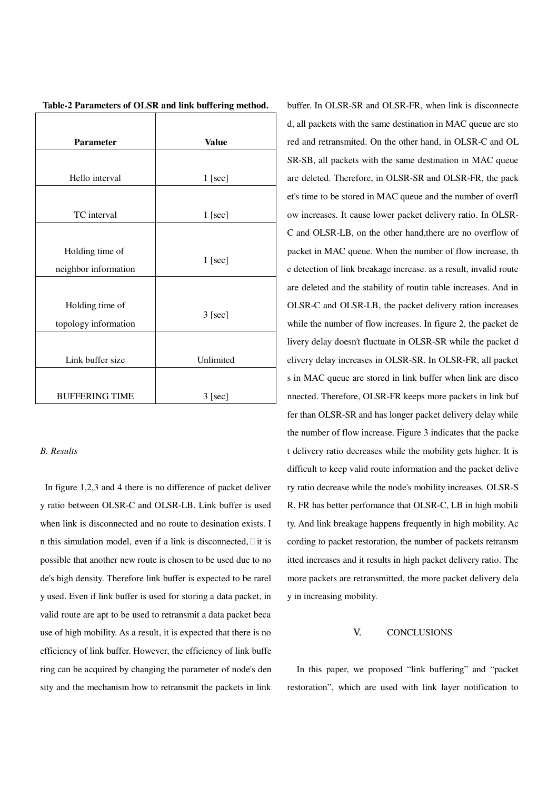| <b>Parameter</b>                        | <b>Value</b> |
|-----------------------------------------|--------------|
|                                         |              |
| Hello interval                          | 1 [sec]      |
|                                         |              |
| TC interval                             | 1 [sec]      |
|                                         |              |
| Holding time of<br>neighbor information | $1$ [sec]    |
|                                         |              |
| Holding time of<br>topology information | $3$ [sec]    |
|                                         |              |
| Link buffer size                        | Unlimited    |
|                                         |              |
| <b>BUFFERING TIME</b>                   | $3$ [sec]    |

|  | Table-2 Parameters of OLSR and link buffering method. |  |  |  |
|--|-------------------------------------------------------|--|--|--|
|  |                                                       |  |  |  |

## *B. Results*

In figure 1,2,3 and 4 there is no difference of packet deliver y ratio between OLSR-C and OLSR-LB. Link buffer is used when link is disconnected and no route to desination exists. I n this simulation model, even if a link is disconnected, it is possible that another new route is chosen to be used due to no de's high density. Therefore link buffer is expected to be rarel y used. Even if link buffer is used for storing a data packet, in valid route are apt to be used to retransmit a data packet beca use of high mobility. As a result, it is expected that there is no efficiency of link buffer. However, the efficiency of link buffe ring can be acquired by changing the parameter of node's den sity and the mechanism how to retransmit the packets in link

buffer. In OLSR-SR and OLSR-FR, when link is disconnecte d, all packets with the same destination in MAC queue are sto red and retransmited. On the other hand, in OLSR-C and OL SR-SB, all packets with the same destination in MAC queue are deleted. Therefore, in OLSR-SR and OLSR-FR, the pack et's time to be stored in MAC queue and the number of overfl ow increases. It cause lower packet delivery ratio. In OLSR-C and OLSR-LB, on the other hand,there are no overflow of packet in MAC queue. When the number of flow increase, th e detection of link breakage increase. as a result, invalid route are deleted and the stability of routin table increases. And in OLSR-C and OLSR-LB, the packet delivery ration increases while the number of flow increases. In figure 2, the packet de livery delay doesn't fluctuate in OLSR-SR while the packet d elivery delay increases in OLSR-SR. In OLSR-FR, all packet s in MAC queue are stored in link buffer when link are disco nnected. Therefore, OLSR-FR keeps more packets in link buf fer than OLSR-SR and has longer packet delivery delay while the number of flow increase. Figure 3 indicates that the packe t delivery ratio decreases while the mobility gets higher. It is difficult to keep valid route information and the packet delive ry ratio decrease while the node's mobility increases. OLSR-S R, FR has better perfomance that OLSR-C, LB in high mobili ty. And link breakage happens frequently in high mobility. Ac cording to packet restoration, the number of packets retransm itted increases and it results in high packet delivery ratio. The more packets are retransmitted, the more packet delivery dela y in increasing mobility.

## V. CONCLUSIONS

In this paper, we proposed "link buffering" and "packet restoration", which are used with link layer notification to